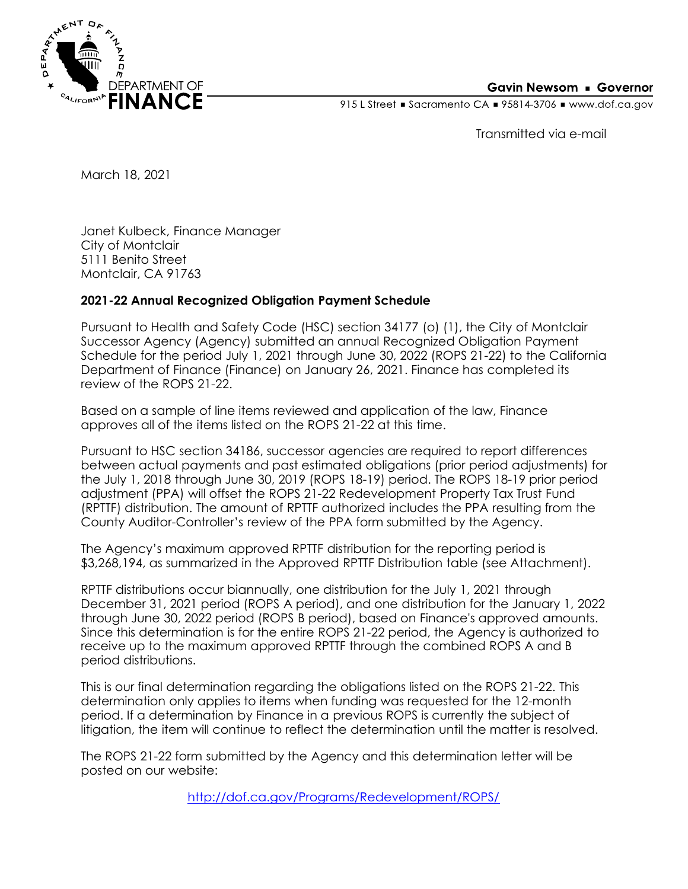

## **Gavin Newsom • Governor**

915 L Street Gacramento CA = 95814-3706 Www.dof.ca.gov

Transmitted via e-mail

March 18, 2021

Janet Kulbeck, Finance Manager City of Montclair 5111 Benito Street Montclair, CA 91763

## **2021-22 Annual Recognized Obligation Payment Schedule**

Pursuant to Health and Safety Code (HSC) section 34177 (o) (1), the City of Montclair Successor Agency (Agency) submitted an annual Recognized Obligation Payment Schedule for the period July 1, 2021 through June 30, 2022 (ROPS 21-22) to the California Department of Finance (Finance) on January 26, 2021. Finance has completed its review of the ROPS 21-22.

Based on a sample of line items reviewed and application of the law, Finance approves all of the items listed on the ROPS 21-22 at this time.

Pursuant to HSC section 34186, successor agencies are required to report differences between actual payments and past estimated obligations (prior period adjustments) for the July 1, 2018 through June 30, 2019 (ROPS 18-19) period. The ROPS 18-19 prior period adjustment (PPA) will offset the ROPS 21-22 Redevelopment Property Tax Trust Fund (RPTTF) distribution. The amount of RPTTF authorized includes the PPA resulting from the County Auditor-Controller's review of the PPA form submitted by the Agency.

The Agency's maximum approved RPTTF distribution for the reporting period is \$3,268,194, as summarized in the Approved RPTTF Distribution table (see Attachment).

RPTTF distributions occur biannually, one distribution for the July 1, 2021 through December 31, 2021 period (ROPS A period), and one distribution for the January 1, 2022 through June 30, 2022 period (ROPS B period), based on Finance's approved amounts. Since this determination is for the entire ROPS 21-22 period, the Agency is authorized to receive up to the maximum approved RPTTF through the combined ROPS A and B period distributions.

This is our final determination regarding the obligations listed on the ROPS 21-22. This determination only applies to items when funding was requested for the 12-month period. If a determination by Finance in a previous ROPS is currently the subject of litigation, the item will continue to reflect the determination until the matter is resolved.

The ROPS 21-22 form submitted by the Agency and this determination letter will be posted on our website:

<http://dof.ca.gov/Programs/Redevelopment/ROPS/>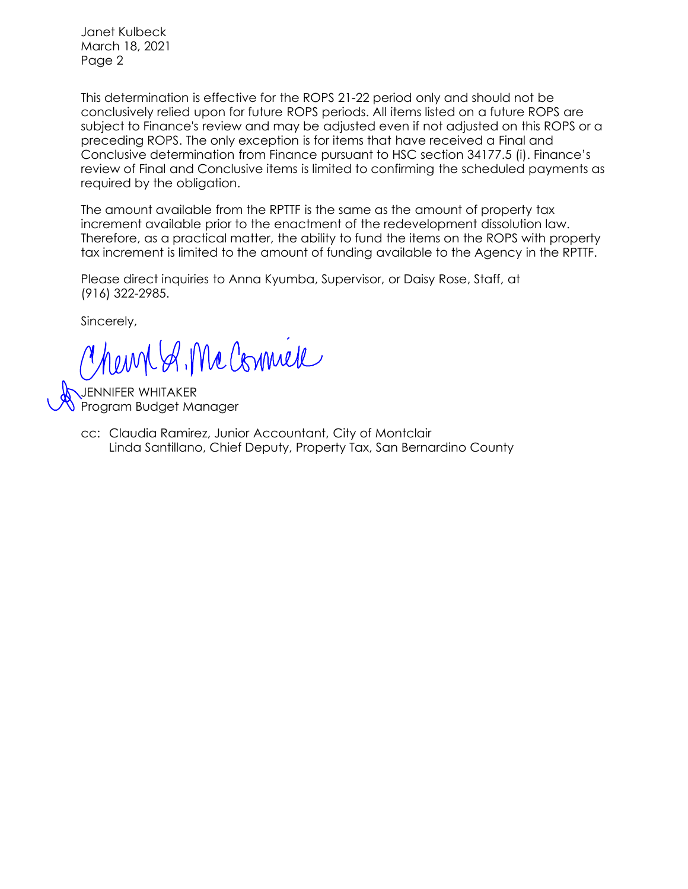Janet Kulbeck March 18, 2021 Page 2

This determination is effective for the ROPS 21-22 period only and should not be conclusively relied upon for future ROPS periods. All items listed on a future ROPS are subject to Finance's review and may be adjusted even if not adjusted on this ROPS or a preceding ROPS. The only exception is for items that have received a Final and Conclusive determination from Finance pursuant to HSC section 34177.5 (i). Finance's review of Final and Conclusive items is limited to confirming the scheduled payments as required by the obligation.

The amount available from the RPTTF is the same as the amount of property tax increment available prior to the enactment of the redevelopment dissolution law. Therefore, as a practical matter, the ability to fund the items on the ROPS with property tax increment is limited to the amount of funding available to the Agency in the RPTTF.

Please direct inquiries to Anna Kyumba, Supervisor, or Daisy Rose, Staff, at (916) 322-2985.

Sincerely,

hempt of Mc Commell

JENNIFER WHITAKER Program Budget Manager

> Linda Santillano, Chief Deputy, Property Tax, San Bernardino County cc: Claudia Ramirez, Junior Accountant, City of Montclair